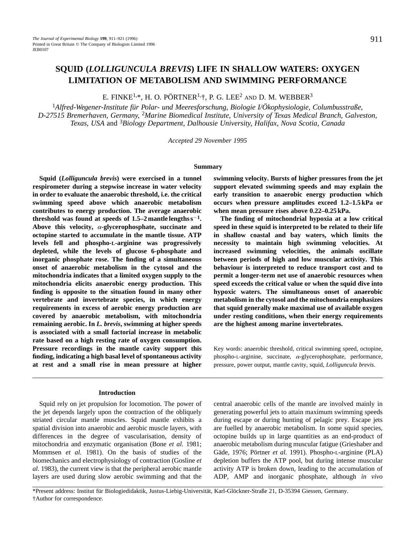# **SQUID (***LOLLIGUNCULA BREVIS***) LIFE IN SHALLOW WATERS: OXYGEN LIMITATION OF METABOLISM AND SWIMMING PERFORMANCE**

E. FINKE<sup>1,\*</sup>, H. O. PÖRTNER<sup>1,†</sup>, P. G. LEE<sup>2</sup> AND D. M. WEBBER<sup>3</sup>

<sup>1</sup>*Alfred-Wegener-Institute für Polar- und Meeresforschung, Biologie I/Ökophysiologie, Columbusstraße, D-27515 Bremerhaven, Germany,* <sup>2</sup>*Marine Biomedical Institute, University of Texas Medical Branch, Galveston, Texas, USA* and 3*Biology Department, Dalhousie University, Halifax, Nova Scotia, Canada*

*Accepted 29 November 1995*

#### **Summary**

**Squid (***Lolliguncula brevis***) were exercised in a tunnel respirometer during a stepwise increase in water velocity in order to evaluate the anaerobic threshold, i.e. the critical swimming speed above which anaerobic metabolism contributes to energy production. The average anaerobic threshold was found at speeds of 1.5–2 mantle lengths**  $s^{-1}$ **. Above this velocity,** a**-glycerophosphate, succinate and octopine started to accumulate in the mantle tissue. ATP levels fell and phospho-L-arginine was progressively depleted, while the levels of glucose 6-phosphate and inorganic phosphate rose. The finding of a simultaneous onset of anaerobic metabolism in the cytosol and the mitochondria indicates that a limited oxygen supply to the mitochondria elicits anaerobic energy production. This finding is opposite to the situation found in many other vertebrate and invertebrate species, in which energy requirements in excess of aerobic energy production are covered by anaerobic metabolism, with mitochondria remaining aerobic. In** *L. brevis***, swimming at higher speeds is associated with a small factorial increase in metabolic rate based on a high resting rate of oxygen consumption. Pressure recordings in the mantle cavity support this finding, indicating a high basal level of spontaneous activity at rest and a small rise in mean pressure at higher**

## **Introduction**

Squid rely on jet propulsion for locomotion. The power of the jet depends largely upon the contraction of the obliquely striated circular mantle muscles. Squid mantle exhibits a spatial division into anaerobic and aerobic muscle layers, with differences in the degree of vascularisation, density of mitochondria and enzymatic organisation (Bone *et al.* 1981; Mommsen *et al.* 1981). On the basis of studies of the biomechanics and electrophysiology of contraction (Gosline *et al.* 1983), the current view is that the peripheral aerobic mantle layers are used during slow aerobic swimming and that the

**swimming velocity. Bursts of higher pressures from the jet support elevated swimming speeds and may explain the early transition to anaerobic energy production which occurs when pressure amplitudes exceed 1.2–1.5 kPa or when mean pressure rises above 0.22–0.25 kPa.**

**The finding of mitochondrial hypoxia at a low critical speed in these squid is interpreted to be related to their life in shallow coastal and bay waters, which limits the necessity to maintain high swimming velocities. At increased swimming velocities, the animals oscillate between periods of high and low muscular activity. This behaviour is interpreted to reduce transport cost and to permit a longer-term net use of anaerobic resources when speed exceeds the critical value or when the squid dive into hypoxic waters. The simultaneous onset of anaerobic metabolism in the cytosol and the mitochondria emphasizes that squid generally make maximal use of available oxygen under resting conditions, when their energy requirements are the highest among marine invertebrates.**

Key words: anaerobic threshold, critical swimming speed, octopine, phospho-L-arginine, succinate,  $\alpha$ -glycerophosphate, performance, pressure, power output, mantle cavity, squid, *Lolliguncula brevis.*

central anaerobic cells of the mantle are involved mainly in generating powerful jets to attain maximum swimming speeds during escape or during hunting of pelagic prey. Escape jets are fuelled by anaerobic metabolism. In some squid species, octopine builds up in large quantities as an end-product of anaerobic metabolism during muscular fatigue (Grieshaber and Gäde, 1976; Pörtner *et al.* 1991). Phospho-L-arginine (PLA) depletion buffers the ATP pool, but during intense muscular activity ATP is broken down, leading to the accumulation of ADP, AMP and inorganic phosphate, although *in vivo*

\*Present address: Institut für Biologiedidaktik, Justus-Liebig-Universität, Karl-Glöckner-Straße 21, D-35394 Giessen, Germany. †Author for correspondence.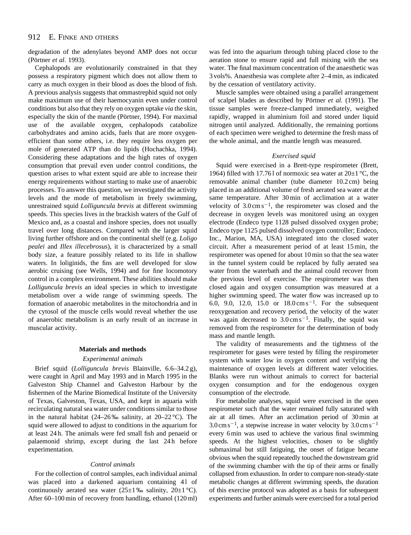degradation of the adenylates beyond AMP does not occur (Pörtner *et al.* 1993).

Cephalopods are evolutionarily constrained in that they possess a respiratory pigment which does not allow them to carry as much oxygen in their blood as does the blood of fish. A previous analysis suggests that ommastrephid squid not only make maximum use of their haemocyanin even under control conditions but also that they rely on oxygen uptake *via* the skin, especially the skin of the mantle (Pörtner, 1994). For maximal use of the available oxygen, cephalopods catabolize carbohydrates and amino acids, fuels that are more oxygenefficient than some others, i.e. they require less oxygen per mole of generated ATP than do lipids (Hochachka, 1994). Considering these adaptations and the high rates of oxygen consumption that prevail even under control conditions, the question arises to what extent squid are able to increase their energy requirements without starting to make use of anaerobic processes. To answer this question, we investigated the activity levels and the mode of metabolism in freely swimming, unrestrained squid *Lolliguncula brevis* at different swimming speeds. This species lives in the brackish waters of the Gulf of Mexico and, as a coastal and inshore species, does not usually travel over long distances. Compared with the larger squid living further offshore and on the continental shelf (e.g. *Loligo pealei* and *Illex illecebrosus*), it is characterized by a small body size, a feature possibly related to its life in shallow waters. In loliginids, the fins are well developed for slow aerobic cruising (see Wells, 1994) and for fine locomotory control in a complex environment. These abilities should make *Lolliguncula brevis* an ideal species in which to investigate metabolism over a wide range of swimming speeds. The formation of anaerobic metabolites in the mitochondria and in the cytosol of the muscle cells would reveal whether the use of anaerobic metabolism is an early result of an increase in muscular activity.

## **Materials and methods**

## *Experimental animals*

Brief squid (*Lolliguncula brevis* Blainville, 6.6–34.2 g), were caught in April and May 1993 and in March 1995 in the Galveston Ship Channel and Galveston Harbour by the fishermen of the Marine Biomedical Institute of the University of Texas, Galveston, Texas, USA, and kept in aquaria with recirculating natural sea water under conditions similar to those in the natural habitat (24–26‰ salinity, at 20–22 °C). The squid were allowed to adjust to conditions in the aquarium for at least 24 h. The animals were fed small fish and penaeid or palaemonid shrimp, except during the last 24 h before experimentation.

#### *Control animals*

For the collection of control samples, each individual animal was placed into a darkened aquarium containing 41 of continuously aerated sea water  $(25\pm1\% \text{ salinity}, 20\pm1\degree \text{C}).$ After 60–100 min of recovery from handling, ethanol (120 ml) was fed into the aquarium through tubing placed close to the aeration stone to ensure rapid and full mixing with the sea water. The final maximum concentration of the anaesthetic was 3 vols%. Anaesthesia was complete after 2–4 min, as indicated by the cessation of ventilatory activity.

Muscle samples were obtained using a parallel arrangement of scalpel blades as described by Pörtner *et al.* (1991). The tissue samples were freeze-clamped immediately, weighed rapidly, wrapped in aluminium foil and stored under liquid nitrogen until analyzed. Additionally, the remaining portions of each specimen were weighed to determine the fresh mass of the whole animal, and the mantle length was measured.

#### *Exercised squid*

Squid were exercised in a Brett-type respirometer (Brett, 1964) filled with 17.761 of normoxic sea water at  $20\pm1$  °C, the removable animal chamber (tube diameter 10.2 cm) being placed in an additional volume of fresh aerated sea water at the same temperature. After 30 min of acclimation at a water velocity of  $3.0 \text{ cm s}^{-1}$ , the respirometer was closed and the decrease in oxygen levels was monitored using an oxygen electrode (Endeco type 1128 pulsed dissolved oxygen probe; Endeco type 1125 pulsed dissolved oxygen controller; Endeco, Inc., Marion, MA, USA) integrated into the closed water circuit. After a measurement period of at least 15 min, the respirometer was opened for about 10 min so that the sea water in the tunnel system could be replaced by fully aerated sea water from the waterbath and the animal could recover from the previous level of exercise. The respirometer was then closed again and oxygen consumption was measured at a higher swimming speed. The water flow was increased up to 6.0, 9.0, 12.0, 15.0 or  $18.0 \text{ cm s}^{-1}$ . For the subsequent reoxygenation and recovery period, the velocity of the water was again decreased to  $3.0 \text{ cm s}^{-1}$ . Finally, the squid was removed from the respirometer for the determination of body mass and mantle length.

The validity of measurements and the tightness of the respirometer for gases were tested by filling the respirometer system with water low in oxygen content and verifying the maintenance of oxygen levels at different water velocities. Blanks were run without animals to correct for bacterial oxygen consumption and for the endogenous oxygen consumption of the electrode.

For metabolite analyses, squid were exercised in the open respirometer such that the water remained fully saturated with air at all times. After an acclimation period of 30 min at  $3.0 \text{ cm s}^{-1}$ , a stepwise increase in water velocity by  $3.0 \text{ cm s}^{-1}$ every 6 min was used to achieve the various final swimming speeds. At the highest velocities, chosen to be slightly submaximal but still fatiguing, the onset of fatigue became obvious when the squid repeatedly touched the downstream grid of the swimming chamber with the tip of their arms or finally collapsed from exhaustion. In order to compare non-steady-state metabolic changes at different swimming speeds, the duration of this exercise protocol was adopted as a basis for subsequent experiments and further animals were exercised for a total period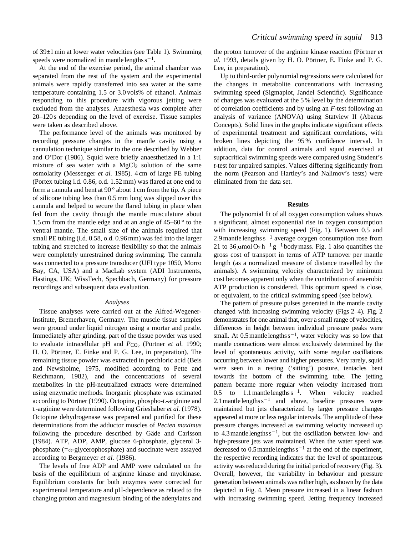of 39±1 min at lower water velocities (see Table 1). Swimming speeds were normalized in mantle lengths  $s^{-1}$ .

At the end of the exercise period, the animal chamber was separated from the rest of the system and the experimental animals were rapidly transferred into sea water at the same temperature containing 1.5 or 3.0 vols% of ethanol. Animals responding to this procedure with vigorous jetting were excluded from the analyses. Anaesthesia was complete after 20–120 s depending on the level of exercise. Tissue samples were taken as described above.

The performance level of the animals was monitored by recording pressure changes in the mantle cavity using a cannulation technique similar to the one described by Webber and O'Dor (1986). Squid were briefly anaesthetized in a 1:1 mixture of sea water with a MgCl<sub>2</sub> solution of the same osmolarity (Messenger *et al.* 1985). 4 cm of large PE tubing (Portex tubing i.d. 0.86, o.d. 1.52 mm) was flared at one end to form a cannula and bent at 90 ° about 1 cm from the tip. A piece of silicone tubing less than 0.5 mm long was slipped over this cannula and helped to secure the flared tubing in place when fed from the cavity through the mantle musculature about 1.5 cm from the mantle edge and at an angle of 45–60 ° to the ventral mantle. The small size of the animals required that small PE tubing (i.d. 0.58, o.d. 0.96 mm) was fed into the larger tubing and stretched to increase flexibility so that the animals were completely unrestrained during swimming. The cannula was connected to a pressure transducer (UFI type 1050, Morro Bay, CA, USA) and a MacLab system (ADI Instruments, Hastings, UK; WissTech, Spechbach, Germany) for pressure recordings and subsequent data evaluation.

## *Analyses*

Tissue analyses were carried out at the Alfred-Wegener-Institute, Bremerhaven, Germany. The muscle tissue samples were ground under liquid nitrogen using a mortar and pestle. Immediately after grinding, part of the tissue powder was used to evaluate intracellular pH and  $P_{CO_2}$  (Pörtner *et al.* 1990; H. O. Pörtner, E. Finke and P. G. Lee, in preparation). The remaining tissue powder was extracted in perchloric acid (Beis and Newsholme, 1975, modified according to Pette and Reichmann, 1982), and the concentrations of several metabolites in the pH-neutralized extracts were determined using enzymatic methods. Inorganic phosphate was estimated according to Pörtner (1990). Octopine, phospho-L-arginine and L-arginine were determined following Grieshaber *et al.* (1978). Octopine dehydrogenase was prepared and purified for these determinations from the adductor muscles of *Pecten maximus* following the procedure described by Gäde and Carlsson (1984). ATP, ADP, AMP, glucose 6-phosphate, glycerol 3 phosphate  $(=\alpha$ -glycerophosphate) and succinate were assayed according to Bergmeyer *et al.* (1986).

The levels of free ADP and AMP were calculated on the basis of the equilibrium of arginine kinase and myokinase. Equilibrium constants for both enzymes were corrected for experimental temperature and pH-dependence as related to the changing proton and magnesium binding of the adenylates and

the proton turnover of the arginine kinase reaction (Pörtner *et al.* 1993, details given by H. O. Pörtner, E. Finke and P. G. Lee, in preparation).

Up to third-order polynomial regressions were calculated for the changes in metabolite concentrations with increasing swimming speed (Sigmaplot, Jandel Scientific). Significance of changes was evaluated at the 5 % level by the determination of correlation coefficients and by using an *F*-test following an analysis of variance (ANOVA) using Statview II (Abacus Concepts). Solid lines in the graphs indicate significant effects of experimental treatment and significant correlations, with broken lines depicting the 95 % confidence interval. In addition, data for control animals and squid exercised at supracritical swimming speeds were compared using Student's *t*-test for unpaired samples. Values differing significantly from the norm (Pearson and Hartley's and Nalimov's tests) were eliminated from the data set.

## **Results**

The polynomial fit of all oxygen consumption values shows a significant, almost exponential rise in oxygen consumption with increasing swimming speed (Fig. 1). Between 0.5 and 2.9 mantle lengths  $s^{-1}$  average oxygen consumption rose from 21 to 36  $\mu$ mol O<sub>2</sub> h<sup>-1</sup> g<sup>-1</sup> body mass. Fig. 1 also quantifies the gross cost of transport in terms of ATP turnover per mantle length (as a normalized measure of distance travelled by the animals). A swimming velocity characterized by minimum cost becomes apparent only when the contribution of anaerobic ATP production is considered. This optimum speed is close, or equivalent, to the critical swimming speed (see below).

The pattern of pressure pulses generated in the mantle cavity changed with increasing swimming velocity (Figs 2–4). Fig. 2 demonstrates for one animal that, over a small range of velocities, differences in height between individual pressure peaks were small. At  $0.5$  mantle lengths  $s^{-1}$ , water velocity was so low that mantle contractions were almost exclusively determined by the level of spontaneous activity, with some regular oscillations occurring between lower and higher pressures. Very rarely, squid were seen in a resting ('sitting') posture, tentacles bent towards the bottom of the swimming tube. The jetting pattern became more regular when velocity increased from 0.5 to 1.1 mantlelengths  $s^{-1}$ . When velocity reached 2.1 mantlelengths  $s^{-1}$  and above, baseline pressures were maintained but jets characterized by larger pressure changes appeared at more or less regular intervals. The amplitude of these pressure changes increased as swimming velocity increased up to 4.3 mantle lengths  $s^{-1}$ , but the oscillation between low- and high-pressure jets was maintained. When the water speed was decreased to  $0.5$  mantle lengths  $s^{-1}$  at the end of the experiment, the respective recording indicates that the level of spontaneous activity was reduced during the initial period of recovery (Fig. 3). Overall, however, the variability in behaviour and pressure generation between animals was rather high, as shown by the data depicted in Fig. 4. Mean pressure increased in a linear fashion with increasing swimming speed. Jetting frequency increased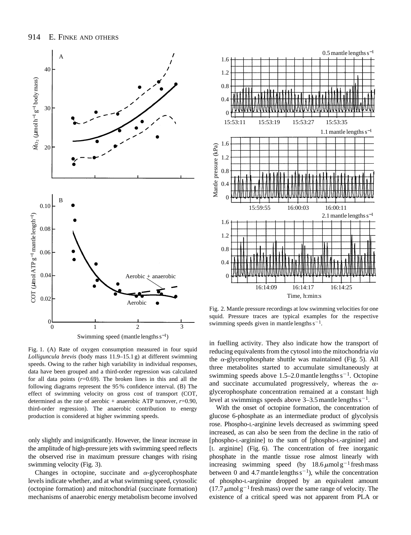

Fig. 1. (A) Rate of oxygen consumption measured in four squid *Lolliguncula brevis* (body mass 11.9–15.1 g) at different swimming speeds. Owing to the rather high variability in individual responses, data have been grouped and a third-order regression was calculated for all data points  $(r=0.69)$ . The broken lines in this and all the following diagrams represent the 95 % confidence interval. (B) The effect of swimming velocity on gross cost of transport (COT, determined as the rate of aerobic + anaerobic ATP turnover,  $r=0.90$ , third-order regression). The anaerobic contribution to energy

production is considered at higher swimming speeds.

only slightly and insignificantly. However, the linear increase in the amplitude of high-pressure jets with swimming speed reflects the observed rise in maximum pressure changes with rising swimming velocity (Fig. 3).

Changes in octopine, succinate and  $\alpha$ -glycerophosphate levels indicate whether, and at what swimming speed, cytosolic (octopine formation) and mitochondrial (succinate formation) mechanisms of anaerobic energy metabolism become involved



Fig. 2. Mantle pressure recordings at low swimming velocities for one squid. Pressure traces are typical examples for the respective swimming speeds given in mantle lengths  $s^{-1}$ .

in fuelling activity. They also indicate how the transport of reducing equivalents from the cytosol into the mitochondria *via* the  $\alpha$ -glycerophosphate shuttle was maintained (Fig. 5). All three metabolites started to accumulate simultaneously at swimming speeds above 1.5–2.0 mantle lengths  $s^{-1}$ . Octopine and succinate accumulated progressively, whereas the  $\alpha$ glycerophosphate concentration remained at a constant high level at swimmings speeds above  $3-3.5$  mantle lengths  $s^{-1}$ .

With the onset of octopine formation, the concentration of glucose 6-phosphate as an intermediate product of glycolysis rose. Phospho-L-arginine levels decreased as swimming speed increased, as can also be seen from the decline in the ratio of [phospho-L-arginine] to the sum of [phospho-L-arginine] and [L arginine] (Fig. 6). The concentration of free inorganic phosphate in the mantle tissue rose almost linearly with increasing swimming speed (by  $18.6 \mu$ mol g<sup>-1</sup> fresh mass between 0 and 4.7 mantle lengths  $s^{-1}$ ), while the concentration of phospho-L-arginine dropped by an equivalent amount  $(17.7 \,\mu\text{mol g}^{-1}$  fresh mass) over the same range of velocity. The existence of a critical speed was not apparent from PLA or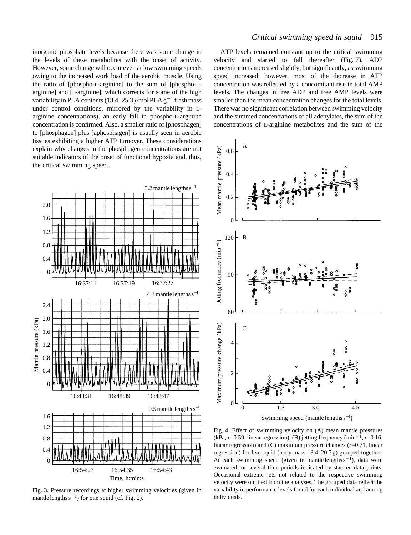inorganic phosphate levels because there was some change in the levels of these metabolites with the onset of activity. However, some change will occur even at low swimming speeds owing to the increased work load of the aerobic muscle. Using the ratio of [phospho-L-arginine] to the sum of [phospho-Larginine] and [L-arginine], which corrects for some of the high variability in PLA contents (13.4–25.3  $\mu$ mol PLA g<sup>-1</sup> fresh mass under control conditions, mirrored by the variability in Larginine concentrations), an early fall in phospho-L-arginine concentration is confirmed. Also, a smaller ratio of [phosphagen] to [phosphagen] plus [aphosphagen] is usually seen in aerobic tissues exhibiting a higher ATP turnover. These considerations explain why changes in the phosphagen concentrations are not suitable indicators of the onset of functional hypoxia and, thus, the critical swimming speed.



Fig. 3. Pressure recordings at higher swimming velocities (given in mantle lengths  $s^{-1}$ ) for one squid (cf. Fig. 2).

## *Critical swimming speed in squid* 915

ATP levels remained constant up to the critical swimming velocity and started to fall thereafter (Fig. 7). ADP concentrations increased slightly, but significantly, as swimming speed increased; however, most of the decrease in ATP concentration was reflected by a concomitant rise in total AMP levels. The changes in free ADP and free AMP levels were smaller than the mean concentration changes for the total levels. There was no significant correlation between swimming velocity and the summed concentrations of all adenylates, the sum of the concentrations of L-arginine metabolites and the sum of the



Fig. 4. Effect of swimming velocity on (A) mean mantle pressures (kPa,  $r=0.59$ , linear regression), (B) jetting frequency (min<sup>-1</sup>,  $r=0.16$ , linear regression) and (C) maximum pressure changes (*r*=0.71, linear regression) for five squid (body mass 13.4–20.7 g) grouped together. At each swimming speed (given in mantle lengths  $s^{-1}$ ), data were evaluated for several time periods indicated by stacked data points. Occasional extreme jets not related to the respective swimming velocity were omitted from the analyses. The grouped data reflect the variability in performance levels found for each individual and among individuals.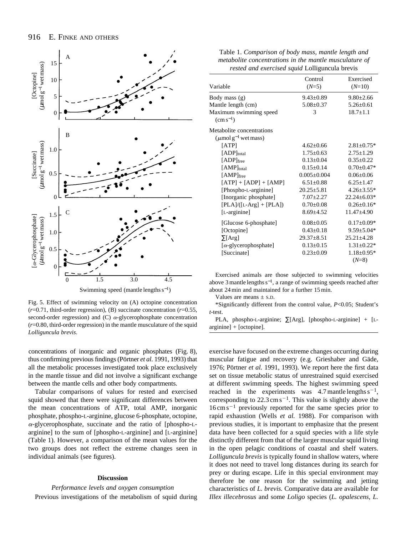

Fig. 5. Effect of swimming velocity on (A) octopine concentration (*r*=0.71, third-order regression), (B) succinate concentration (*r*=0.55, second-order regression) and (C)  $\alpha$ -glycerophosphate concentration  $(r=0.80, \text{third-order regression})$  in the mantle musculature of the squid *Lolliguncula brevis*.

concentrations of inorganic and organic phosphates (Fig. 8), thus confirming previous findings (Pörtner *et al.* 1991, 1993) that all the metabolic processes investigated took place exclusively in the mantle tissue and did not involve a significant exchange between the mantle cells and other body compartments.

Tabular comparisons of values for rested and exercised squid showed that there were significant differences between the mean concentrations of ATP, total AMP, inorganic phosphate, phospho-L-arginine, glucose 6-phosphate, octopine,  $\alpha$ -glycerophosphate, succinate and the ratio of [phospho-Larginine] to the sum of [phospho-L-arginine] and [L-arginine] (Table 1). However, a comparison of the mean values for the two groups does not reflect the extreme changes seen in individual animals (see figures).

## **Discussion**

## *Performance levels and oxygen consumption* Previous investigations of the metabolism of squid during

| Table 1. Comparison of body mass, mantle length and    |
|--------------------------------------------------------|
| metabolite concentrations in the mantle musculature of |
| rested and exercised squid Lolliguncula brevis         |

|                                    | Control           | Exercised        |
|------------------------------------|-------------------|------------------|
| Variable                           | $(N=5)$           | $(N=10)$         |
| Body mass (g)                      | $9.43 \pm 0.89$   | $9.80 \pm 2.66$  |
| Mantle length (cm)                 | $5.08 \pm 0.37$   | $5.26 \pm 0.61$  |
| Maximum swimming speed             | 3                 | $18.7 \pm 1.1$   |
| $\rm (cm\,s^{-1})$                 |                   |                  |
| Metabolite concentrations          |                   |                  |
| $(\mu \text{mol g}^{-1}$ wet mass) |                   |                  |
| [ATP]                              | $4.62 + 0.66$     | $2.81 \pm 0.75*$ |
| $[ADP]_{total}$                    | $1.75 \pm 0.63$   | $2.75 \pm 1.29$  |
| $[ADP]$ free                       | $0.13 \pm 0.04$   | $0.35 \pm 0.22$  |
| [AMP]total                         | $0.15+0.14$       | $0.70 \pm 0.47*$ |
| [AMP]free                          | $0.005 \pm 0.004$ | $0.06 \pm 0.06$  |
| $[ATP] + [ADP] + [AMP]$            | $6.51 \pm 0.88$   | $6.25 \pm 1.47$  |
| [Phospho-L-arginine]               | $20.25 \pm 5.81$  | $4.26 \pm 3.55*$ |
| [Inorganic phosphate]              | $7.07 \pm 2.27$   | 22.24±6.03*      |
| $[PLA]/([L-Arg] + [PLA])$          | $0.70 \pm 0.08$   | $0.26 \pm 0.16*$ |
| $[L-arginine]$                     | $8.69 \pm 4.52$   | $11.47 \pm 4.90$ |
| [Glucose 6-phosphate]              | $0.08 \pm 0.05$   | $0.17 \pm 0.09*$ |
| [Octopine]                         | $0.43 \pm 0.18$   | $9.59 \pm 5.04*$ |
| $\Sigma[Arg]$                      | $29.37 \pm 8.51$  | $25.21 \pm 4.28$ |
| $[\alpha$ -glycerophosphate]       | $0.13 \pm 0.15$   | $1.31 \pm 0.22*$ |
| [Succinate]                        | $0.23 \pm 0.09$   | $1.18 \pm 0.95*$ |
|                                    |                   | $(N=8)$          |
|                                    |                   |                  |

Exercised animals are those subjected to swimming velocities above 3 mantle lengths s<sup>−</sup>1, a range of swimming speeds reached after about 24 min and maintained for a further 15 min.

Values are means  $\pm$  s.D.

\*Significantly different from the control value, *P*<0.05; Student's *t*-test.

PLA, phospho-L-arginine; ∑[Arg], [phospho-L-arginine] + [Larginine] + [octopine].

exercise have focused on the extreme changes occurring during muscular fatigue and recovery (e.g. Grieshaber and Gäde, 1976; Pörtner *et al.* 1991, 1993). We report here the first data set on tissue metabolic status of unrestrained squid exercised at different swimming speeds. The highest swimming speed reached in the experiments was 4.7 mantle lengths  $s^{-1}$ , corresponding to  $22.3 \text{ cm s}^{-1}$ . This value is slightly above the  $16 \text{ cm s}^{-1}$  previously reported for the same species prior to rapid exhaustion (Wells *et al.* 1988). For comparison with previous studies, it is important to emphasize that the present data have been collected for a squid species with a life style distinctly different from that of the larger muscular squid living in the open pelagic conditions of coastal and shelf waters. *Lolliguncula brevis* is typically found in shallow waters, where it does not need to travel long distances during its search for prey or during escape. Life in this special environment may therefore be one reason for the swimming and jetting characteristics of *L. brevis.* Comparative data are available for *Illex illecebrosus* and some *Loligo* species (*L. opalescens, L.*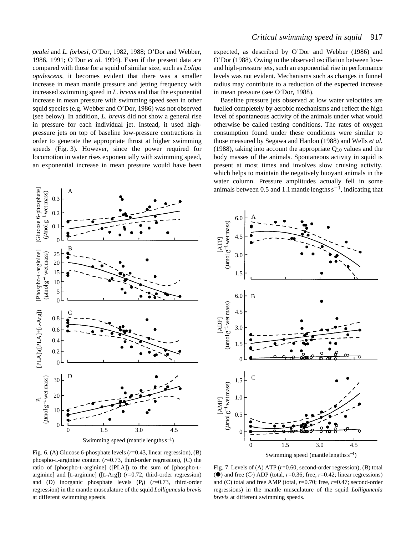*pealei* and *L. forbesi*, O'Dor, 1982, 1988; O'Dor and Webber, 1986, 1991; O'Dor *et al.* 1994). Even if the present data are compared with those for a squid of similar size, such as *Loligo opalescens*, it becomes evident that there was a smaller increase in mean mantle pressure and jetting frequency with increased swimming speed in *L. brevis* and that the exponential increase in mean pressure with swimming speed seen in other squid species (e.g. Webber and O'Dor, 1986) was not observed (see below). In addition, *L. brevis* did not show a general rise in pressure for each individual jet. Instead, it used highpressure jets on top of baseline low-pressure contractions in order to generate the appropriate thrust at higher swimming speeds (Fig. 3). However, since the power required for locomotion in water rises exponentially with swimming speed, an exponential increase in mean pressure would have been

expected, as described by O'Dor and Webber (1986) and O'Dor (1988). Owing to the observed oscillation between lowand high-pressure jets, such an exponential rise in performance levels was not evident. Mechanisms such as changes in funnel radius may contribute to a reduction of the expected increase in mean pressure (see O'Dor, 1988).

Baseline pressure jets observed at low water velocities are fuelled completely by aerobic mechanisms and reflect the high level of spontaneous activity of the animals under what would otherwise be called resting conditions. The rates of oxygen consumption found under these conditions were similar to those measured by Segawa and Hanlon (1988) and Wells *et al.* (1988), taking into account the appropriate  $Q_{10}$  values and the body masses of the animals. Spontaneous activity in squid is present at most times and involves slow cruising activity, which helps to maintain the negatively buoyant animals in the water column. Pressure amplitudes actually fell in some animals between 0.5 and 1.1 mantle lengths  $s^{-1}$ , indicating that





Fig. 6. (A) Glucose 6-phosphate levels (*r*=0.43, linear regression), (B) phospho-L-arginine content (*r*=0.73, third-order regression), (C) the ratio of [phospho-L-arginine] ([PLA]) to the sum of [phospho-Larginine] and [L-arginine] ([L-Arg]) (*r*=0.72, third-order regression) and (D) inorganic phosphate levels (Pi) (*r*=0.73, third-order regression) in the mantle musculature of the squid *Lolliguncula brevis* at different swimming speeds.

Fig. 7. Levels of (A) ATP ( $r=0.60$ , second-order regression), (B) total ( $\bullet$ ) and free ( $\circ$ ) ADP (total, *r*=0.36; free, *r*=0.42; linear regressions) and (C) total and free AMP (total, *r*=0.70; free, *r*=0.47; second-order regressions) in the mantle musculature of the squid *Lolliguncula brevis* at different swimming speeds.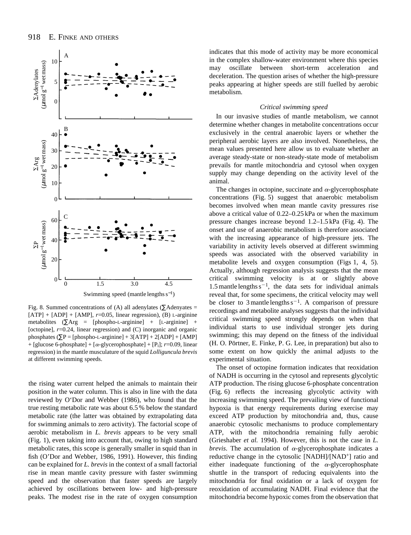

Fig. 8. Summed concentrations of (A) all adenylates ( $\Sigma$ Adenyates =  $[ATP] + [ADP] + [AMP]$ ,  $r=0.05$ , linear regression), (B) L-arginine metabolites ( $\sum \text{Arg}$  = [phospho-L-arginine] + [L-arginine] + [octopine],  $r=0.24$ , linear regression) and (C) inorganic and organic phosphates  $(\Sigma P = [phospho-L-arginine] + 3[ATP] + 2[ADP] + [AMP]$ + [glucose 6-phosphate] +  $[\alpha$ -glycerophosphate] + [P<sub>i</sub>]; *r*=0.09, linear regression) in the mantle musculature of the squid *Lolliguncula brevis* at different swimming speeds.

the rising water current helped the animals to maintain their position in the water column. This is also in line with the data reviewed by O'Dor and Webber (1986), who found that the true resting metabolic rate was about 6.5 % below the standard metabolic rate (the latter was obtained by extrapolating data for swimming animals to zero activity). The factorial scope of aerobic metabolism in *L. brevis* appears to be very small (Fig. 1), even taking into account that, owing to high standard metabolic rates, this scope is generally smaller in squid than in fish (O'Dor and Webber, 1986, 1991). However, this finding can be explained for *L. brevis* in the context of a small factorial rise in mean mantle cavity pressure with faster swimming speed and the observation that faster speeds are largely achieved by oscillations between low- and high-pressure peaks. The modest rise in the rate of oxygen consumption

indicates that this mode of activity may be more economical in the complex shallow-water environment where this species may oscillate between short-term acceleration and deceleration. The question arises of whether the high-pressure peaks appearing at higher speeds are still fuelled by aerobic metabolism.

## *Critical swimming speed*

In our invasive studies of mantle metabolism, we cannot determine whether changes in metabolite concentrations occur exclusively in the central anaerobic layers or whether the peripheral aerobic layers are also involved. Nonetheless, the mean values presented here allow us to evaluate whether an average steady-state or non-steady-state mode of metabolism prevails for mantle mitochondria and cytosol when oxygen supply may change depending on the activity level of the animal.

The changes in octopine, succinate and  $\alpha$ -glycerophosphate concentrations (Fig. 5) suggest that anaerobic metabolism becomes involved when mean mantle cavity pressures rise above a critical value of 0.22–0.25 kPa or when the maximum pressure changes increase beyond 1.2–1.5 kPa (Fig. 4). The onset and use of anaerobic metabolism is therefore associated with the increasing appearance of high-pressure jets. The variability in activity levels observed at different swimming speeds was associated with the observed variability in metabolite levels and oxygen consumption (Figs 1, 4, 5). Actually, although regression analysis suggests that the mean critical swimming velocity is at or slightly above 1.5 mantle lengths  $s^{-1}$ , the data sets for individual animals reveal that, for some specimens, the critical velocity may well be closer to 3 mantle lengths  $s^{-1}$ . A comparison of pressure recordings and metabolite analyses suggests that the individual critical swimming speed strongly depends on when that individual starts to use individual stronger jets during swimming; this may depend on the fitness of the individual (H. O. Pörtner, E. Finke, P. G. Lee, in preparation) but also to some extent on how quickly the animal adjusts to the experimental situation.

The onset of octopine formation indicates that reoxidation of NADH is occurring in the cytosol and represents glycolytic ATP production. The rising glucose 6-phosphate concentration (Fig. 6) reflects the increasing glycolytic activity with increasing swimming speed. The prevailing view of functional hypoxia is that energy requirements during exercise may exceed ATP production by mitochondria and, thus, cause anaerobic cytosolic mechanisms to produce complementary ATP, with the mitochondria remaining fully aerobic (Grieshaber *et al.* 1994). However, this is not the case in *L. brevis*. The accumulation of  $\alpha$ -glycerophosphate indicates a reductive change in the cytosolic [NADH]/[NAD+] ratio and either inadequate functioning of the  $\alpha$ -glycerophosphate shuttle in the transport of reducing equivalents into the mitochondria for final oxidation or a lack of oxygen for reoxidation of accumulating NADH. Final evidence that the mitochondria become hypoxic comes from the observation that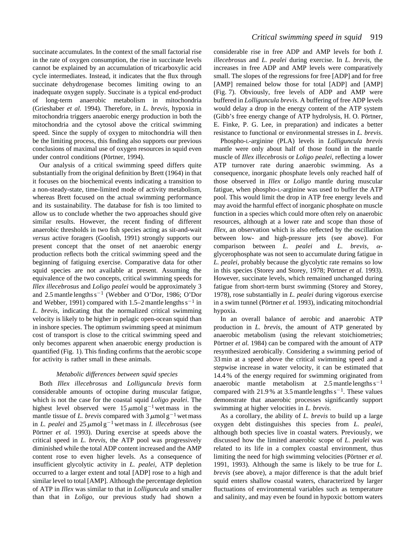succinate accumulates. In the context of the small factorial rise in the rate of oxygen consumption, the rise in succinate levels cannot be explained by an accumulation of tricarboxylic acid cycle intermediates. Instead, it indicates that the flux through succinate dehydrogenase becomes limiting owing to an inadequate oxygen supply. Succinate is a typical end-product of long-term anaerobic metabolism in mitochondria (Grieshaber *et al.* 1994). Therefore, in *L. brevis*, hypoxia in mitochondria triggers anaerobic energy production in both the mitochondria and the cytosol above the critical swimming speed. Since the supply of oxygen to mitochondria will then be the limiting process, this finding also supports our previous conclusions of maximal use of oxygen resources in squid even under control conditions (Pörtner, 1994).

Our analysis of a critical swimming speed differs quite substantially from the original definition by Brett (1964) in that it focuses on the biochemical events indicating a transition to a non-steady-state, time-limited mode of activity metabolism, whereas Brett focused on the actual swimming performance and its sustainability. The database for fish is too limited to allow us to conclude whether the two approaches should give similar results. However, the recent finding of different anaerobic thresholds in two fish species acting as sit-and-wait *versus* active foragers (Goolish, 1991) strongly supports our present concept that the onset of net anaerobic energy production reflects both the critical swimming speed and the beginning of fatiguing exercise. Comparative data for other squid species are not available at present. Assuming the equivalence of the two concepts, critical swimming speeds for *Illex illecebrosus* and *Loligo pealei* would be approximately 3 and 2.5 mantle lengths  $s^{-1}$  (Webber and O'Dor, 1986; O'Dor and Webber, 1991) compared with 1.5–2 mantle lengths  $s^{-1}$  in *L. brevis*, indicating that the normalized critical swimming velocity is likely to be higher in pelagic open-ocean squid than in inshore species. The optimum swimming speed at minimum cost of transport is close to the critical swimming speed and only becomes apparent when anaerobic energy production is quantified (Fig. 1). This finding confirms that the aerobic scope for activity is rather small in these animals.

## *Metabolic differences between squid species*

Both *Illex illecebrosus* and *Lolliguncula brevis* form considerable amounts of octopine during muscular fatigue, which is not the case for the coastal squid *Loligo pealei*. The highest level observed were  $15 \mu \text{mol g}^{-1}$  wet mass in the mantle tissue of *L. brevis* compared with  $3 \mu$ mol g<sup>-1</sup> wet mass in *L. pealei* and  $25 \mu \text{mol g}^{-1}$  wet mass in *I. illecebrosus* (see Pörtner *et al.* 1993). During exercise at speeds above the critical speed in *L. brevis*, the ATP pool was progressively diminished while the total ADP content increased and the AMP content rose to even higher levels. As a consequence of insufficient glycolytic activity in *L. pealei*, ATP depletion occurred to a larger extent and total [ADP] rose to a high and similar level to total [AMP]. Although the percentage depletion of ATP in *Illex* was similar to that in *Lolliguncula* and smaller than that in *Loligo*, our previous study had shown a

considerable rise in free ADP and AMP levels for both *I. illecebrosus* and *L. pealei* during exercise. In *L. brevis*, the increases in free ADP and AMP levels were comparatively small. The slopes of the regressions for free [ADP] and for free [AMP] remained below those for total [ADP] and [AMP] (Fig. 7). Obviously, free levels of ADP and AMP were buffered in *Lolliguncula brevis*. A buffering of free ADP levels would delay a drop in the energy content of the ATP system (Gibb's free energy change of ATP hydrolysis, H. O. Pörtner, E. Finke, P. G. Lee, in preparation) and indicates a better resistance to functional or environmental stresses in *L. brevis*.

Phospho-L-arginine (PLA) levels in *Lolliguncula brevis* mantle were only about half of those found in the mantle muscle of *Illex illecebrosis* or *Loligo pealei*, reflecting a lower ATP turnover rate during anaerobic swimming. As a consequence, inorganic phosphate levels only reached half of those observed in *Illex* or *Loligo* mantle during muscular fatigue, when phospho-L-arginine was used to buffer the ATP pool. This would limit the drop in ATP free energy levels and may avoid the harmful effect of inorganic phosphate on muscle function in a species which could more often rely on anaerobic resources, although at a lower rate and scope than those of *Illex*, an observation which is also reflected by the oscillation between low- and high-pressure jets (see above). For comparison between *L. pealei* and *L. brevis*, aglycerophosphate was not seen to accumulate during fatigue in *L. pealei*, probably because the glycolytic rate remains so low in this species (Storey and Storey, 1978; Pörtner *et al.* 1993). However, succinate levels, which remained unchanged during fatigue from short-term burst swimming (Storey and Storey, 1978), rose substantially in *L. pealei* during vigorous exercise in a swim tunnel (Pörtner *et al.* 1993), indicating mitochondrial hypoxia.

In an overall balance of aerobic and anaerobic ATP production in *L. brevis*, the amount of ATP generated by anaerobic metabolism (using the relevant stoichiometries; Pörtner *et al.* 1984) can be compared with the amount of ATP resynthesized aerobically. Considering a swimming period of 33 min at a speed above the critical swimming speed and a stepwise increase in water velocity, it can be estimated that 14.4 % of the energy required for swimming originated from anaerobic mantle metabolism at  $2.5$  mantle lengths s<sup>-1</sup> compared with 21.9% at 3.5 mantle lengths  $s^{-1}$ . These values demonstrate that anaerobic processes significantly support swimming at higher velocities in *L. brevis*.

As a corollary, the ability of *L. brevis* to build up a large oxygen debt distinguishes this species from *L. pealei*, although both species live in coastal waters. Previously, we discussed how the limited anaerobic scope of *L. pealei* was related to its life in a complex coastal environment, thus limiting the need for high swimming velocities (Pörtner *et al.* 1991, 1993). Although the same is likely to be true for *L. brevis* (see above), a major difference is that the adult brief squid enters shallow coastal waters, characterized by larger fluctuations of environmental variables such as temperature and salinity, and may even be found in hypoxic bottom waters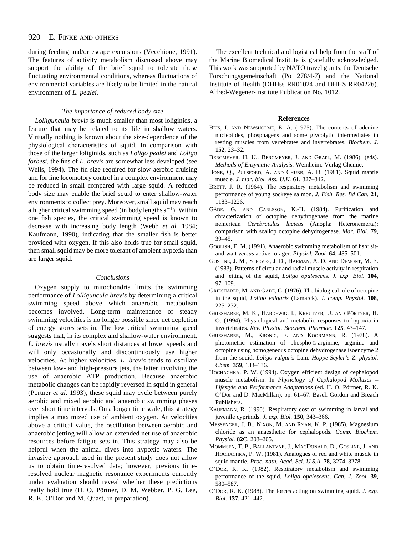#### 920 E. FINKE AND OTHERS

during feeding and/or escape excursions (Vecchione, 1991). The features of activity metabolism discussed above may support the ability of the brief squid to tolerate these fluctuating environmental conditions, whereas fluctuations of environmental variables are likely to be limited in the natural environment of *L. pealei.*

## *The importance of reduced body size*

*Lolliguncula brevis* is much smaller than most loliginids, a feature that may be related to its life in shallow waters. Virtually nothing is known about the size-dependence of the physiological characteristics of squid. In comparison with those of the larger loliginids, such as *Loligo pealei* and *Loligo forbesi*, the fins of *L. brevis* are somewhat less developed (see Wells, 1994). The fin size required for slow aerobic cruising and for fine locomotory control in a complex environment may be reduced in small compared with large squid. A reduced body size may enable the brief squid to enter shallow-water environments to collect prey. Moreover, small squid may reach a higher critical swimming speed (in body lengths  $s^{-1}$ ). Within one fish species, the critical swimming speed is known to decrease with increasing body length (Webb *et al.* 1984; Kaufmann, 1990), indicating that the smaller fish is better provided with oxygen. If this also holds true for small squid, then small squid may be more tolerant of ambient hypoxia than are larger squid.

## *Conclusions*

Oxygen supply to mitochondria limits the swimming performance of *Lolliguncula brevis* by determining a critical swimming speed above which anaerobic metabolism becomes involved. Long-term maintenance of steady swimming velocities is no longer possible since net depletion of energy stores sets in. The low critical swimming speed suggests that, in its complex and shallow-water environment, *L. brevis* usually travels short distances at lower speeds and will only occasionally and discontinuously use higher velocities. At higher velocities, *L. brevis* tends to oscillate between low- and high-pressure jets, the latter involving the use of anaerobic ATP production. Because anaerobic metabolic changes can be rapidly reversed in squid in general (Pörtner *et al.* 1993), these squid may cycle between purely aerobic and mixed aerobic and anaerobic swimming phases over short time intervals. On a longer time scale, this strategy implies a maximized use of ambient oxygen. At velocities above a critical value, the oscillation between aerobic and anaerobic jetting will allow an extended net use of anaerobic resources before fatigue sets in. This strategy may also be helpful when the animal dives into hypoxic waters. The invasive approach used in the present study does not allow us to obtain time-resolved data; however, previous timeresolved nuclear magnetic resonance experiments currently under evaluation should reveal whether these predictions really hold true (H. O. Pörtner, D. M. Webber, P. G. Lee, R. K. O'Dor and M. Quast, in preparation).

The excellent technical and logistical help from the staff of the Marine Biomedical Institute is gratefully acknowledged. This work was supported by NATO travel grants, the Deutsche Forschungsgemeinschaft (Po 278/4-7) and the National Institute of Health (DHHss RR01024 and DHHS RR04226). Alfred-Wegener-Institute Publication No. 1012.

### **References**

- BEIS, I. AND NEWSHOLME, E. A. (1975). The contents of adenine nucleotides, phosphagens and some glycolytic intermediates in resting muscles from vertebrates and invertebrates. *Biochem. J*. **152**, 23–32.
- BERGMEYER, H. U., BERGMEYER, J. AND GRAßL, M. (1986). (eds). *Methods of Enzymatic Analysis*. Weinheim: Verlag Chemie.
- BONE, Q., PULSFORD, A. AND CHUBB, A. D. (1981). Squid mantle muscle*. J. mar. biol. Ass. U.K.* **61**, 327–342.
- BRETT, J. R. (1964). The respiratory metabolism and swimming performance of young sockeye salmon. *J. Fish. Res. Bd Can.* **21**, 1183–1226.
- GÄDE, G. AND CARLSSON, K.-H. (1984). Purification and chracterization of octopine dehydrogenase from the marine nemertean *Cerebratulus lacteus* (Anopla: Heteronemerta): comparison with scallop octopine dehydrogenase. *Mar. Biol.* **79**, 39–45.
- GOOLISH, E. M. (1991). Anaerobic swimming metabolism of fish: sitand-wait *versus* active forager. *Physiol. Zool.* **64**, 485–501.
- GOSLINE, J. M., STEEVES, J. D., HARMAN, A. D. AND DEMONT, M. E. (1983). Patterns of circular and radial muscle activity in respiration and jetting of the squid, *Loligo opalescens*. *J. exp. Biol.* **104**, 97–109.
- GRIESHABER, M. AND GÄDE, G. (1976). The biological role of octopine in the squid, *Loligo vulgaris* (Lamarck). *J. comp. Physiol.* **108**, 225–232.
- GRIESHABER, M. K., HARDEWIG, I., KREUTZER, U. AND PÖRTNER, H. O. (1994). Physiological and metabolic responses to hypoxia in invertebrates. *Rev. Physiol. Biochem. Pharmac.* **125**, 43–147.
- GRIESHABER, M., KRONIG, E. AND KOORMANN, R. (1978). A photometric estimation of phospho-L-arginine, arginine and octopine using homogeneous octopine dehydrogenase isoenzyme 2 from the squid, *Loligo vulgaris* Lam. *Hoppe-Seyler's Z. physiol. Chem.* **359**, 133–136.
- HOCHACHKA, P. W. (1994). Oxygen efficient design of cephalopod muscle metabolism. In *Physiology of Cephalopod Molluscs – Lifestyle and Performance Adaptations* (ed. H. O. Pörtner, R. K. O'Dor and D. MacMillan), pp. 61–67. Basel: Gordon and Breach Publishers.
- KAUFMANN, R. (1990). Respiratory cost of swimming in larval and juvenile cyprinids. *J. exp. Biol.* **150**, 343–366.
- MESSENGER, J. B., NIXON, M. AND RYAN, K. P. (1985). Magnesium chloride as an anaesthetic for cephalopods. *Comp. Biochem. Physiol.* **82**C, 203–205.
- MOMMSEN, T. P., BALLANTYNE, J., MACDONALD, D., GOSLINE, J. AND HOCHACHKA, P. W. (1981). Analogues of red and white muscle in squid mantle. *Proc. natn. Acad. Sci. U.S.A*. **78**, 3274–3278.
- O'DOR, R. K. (1982). Respiratory metabolism and swimming performance of the squid, *Loligo opalescens*. *Can. J. Zool.* **39**, 580–587.
- O'DOR, R. K. (1988). The forces acting on swimming squid. *J. exp. Biol.* **137**, 421–442.